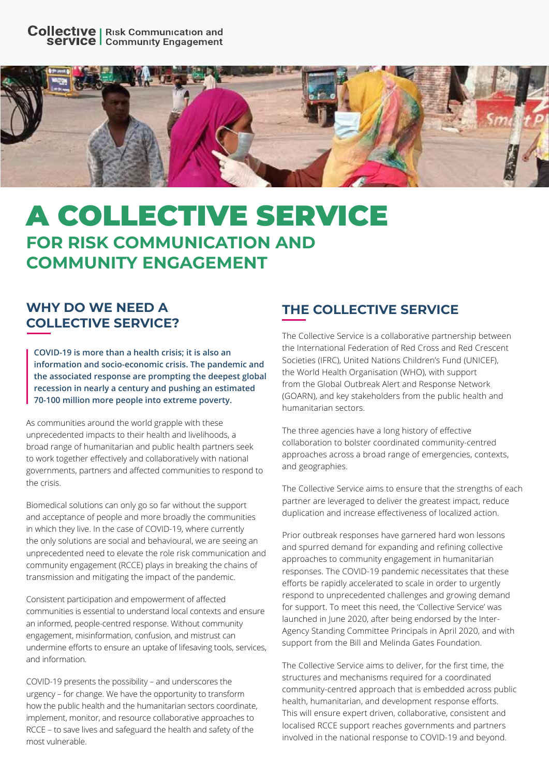

# A COLLECTIVE SERVICE **FOR RISK COMMUNICATION AND COMMUNITY ENGAGEMENT**

#### **WHY DO WE NEED A COLLECTIVE SERVICE?**

**COVID-19 is more than a health crisis; it is also an information and socio-economic crisis. The pandemic and the associated response are prompting the deepest global recession in nearly a century and pushing an estimated 70-100 million more people into extreme poverty.** 

As communities around the world grapple with these unprecedented impacts to their health and livelihoods, a broad range of humanitarian and public health partners seek to work together effectively and collaboratively with national governments, partners and affected communities to respond to the crisis.

Biomedical solutions can only go so far without the support and acceptance of people and more broadly the communities in which they live. In the case of COVID-19, where currently the only solutions are social and behavioural, we are seeing an unprecedented need to elevate the role risk communication and community engagement (RCCE) plays in breaking the chains of transmission and mitigating the impact of the pandemic.

Consistent participation and empowerment of affected communities is essential to understand local contexts and ensure an informed, people-centred response. Without community engagement, misinformation, confusion, and mistrust can undermine efforts to ensure an uptake of lifesaving tools, services, and information.

COVID-19 presents the possibility – and underscores the urgency – for change. We have the opportunity to transform how the public health and the humanitarian sectors coordinate, implement, monitor, and resource collaborative approaches to RCCE – to save lives and safeguard the health and safety of the most vulnerable.

## **THE COLLECTIVE SERVICE**

The Collective Service is a collaborative partnership between the International Federation of Red Cross and Red Crescent Societies (IFRC), United Nations Children's Fund (UNICEF), the World Health Organisation (WHO), with support from the Global Outbreak Alert and Response Network (GOARN), and key stakeholders from the public health and humanitarian sectors.

The three agencies have a long history of effective collaboration to bolster coordinated community-centred approaches across a broad range of emergencies, contexts, and geographies.

The Collective Service aims to ensure that the strengths of each partner are leveraged to deliver the greatest impact, reduce duplication and increase effectiveness of localized action.

Prior outbreak responses have garnered hard won lessons and spurred demand for expanding and refining collective approaches to community engagement in humanitarian responses. The COVID-19 pandemic necessitates that these efforts be rapidly accelerated to scale in order to urgently respond to unprecedented challenges and growing demand for support. To meet this need, the 'Collective Service' was launched in June 2020, after being endorsed by the Inter-Agency Standing Committee Principals in April 2020, and with support from the Bill and Melinda Gates Foundation.

The Collective Service aims to deliver, for the first time, the structures and mechanisms required for a coordinated community-centred approach that is embedded across public health, humanitarian, and development response efforts. This will ensure expert driven, collaborative, consistent and localised RCCE support reaches governments and partners involved in the national response to COVID-19 and beyond.